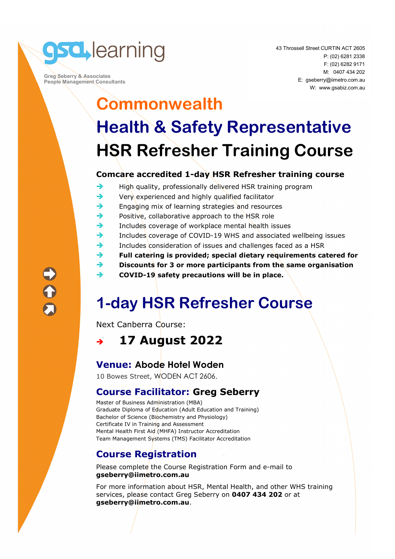

 **Greg Seberry & Associates People Management Consultants**  43 Throssell Street CURTIN ACT 2605 P: (02) 6281 2338 F: (02) 6282 9171 M: 0407 434 202 E: gseberry@iimetro.com.au W: www.gsabiz.com.au

# **Commonwealth Health & Safety Representative HSR Refresher Training Course**

#### **Comcare accredited 1-day HSR Refresher training course**

- $\rightarrow$  High quality, professionally delivered HSR training program
- $\rightarrow$  Very experienced and highly qualified facilitator
- $\rightarrow$  Engaging mix of learning strategies and resources
- $\rightarrow$  Positive, collaborative approach to the HSR role
- $\rightarrow$  Includes coverage of workplace mental health issues
- Includes coverage of COVID-19 WHS and associated wellbeing issues
- $\rightarrow$  Includes consideration of issues and challenges faced as a HSR
- **Full catering is provided; special dietary requirements catered for**
- **Discounts for 3 or more participants from the same organisation**
- **→ COVID-19 safety precautions will be in place.**

## **1-day HSR Refresher Course**

Next Canberra Course:

**17 August 2022** 

### **Venue: Abode Hotel Woden**

10 Bowes Street, WODEN ACT 2606.

#### **Course Facilitator: Greg Seberry**

Master of Business Administration (MBA) Graduate Diploma of Education (Adult Education and Training) Bachelor of Science (Biochemistry and Physiology) Certificate IV in Training and Assessment Mental Health First Aid (MHFA) Instructor Accreditation Team Management Systems (TMS) Facilitator Accreditation

### **Course Registration**

Please complete the Course Registration Form and e-mail to **gseberry@iimetro.com.au**

For more information about HSR, Mental Health, and other WHS training services, please contact Greg Seberry on **0407 434 202** or at **gseberry@iimetro.com.au**.